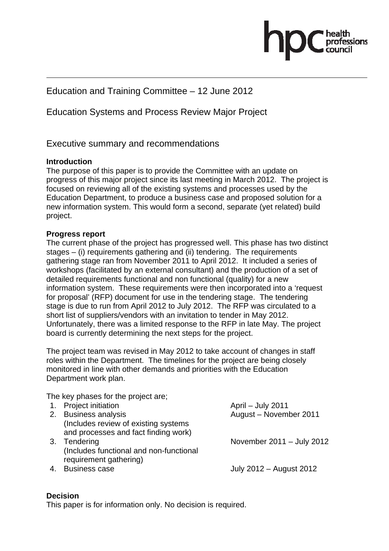# Education and Training Committee – 12 June 2012

# Education Systems and Process Review Major Project

## Executive summary and recommendations

### **Introduction**

The purpose of this paper is to provide the Committee with an update on progress of this major project since its last meeting in March 2012. The project is focused on reviewing all of the existing systems and processes used by the Education Department, to produce a business case and proposed solution for a new information system. This would form a second, separate (yet related) build project.

#### **Progress report**

The current phase of the project has progressed well. This phase has two distinct stages – (i) requirements gathering and (ii) tendering. The requirements gathering stage ran from November 2011 to April 2012. It included a series of workshops (facilitated by an external consultant) and the production of a set of detailed requirements functional and non functional (quality) for a new information system. These requirements were then incorporated into a 'request for proposal' (RFP) document for use in the tendering stage. The tendering stage is due to run from April 2012 to July 2012. The RFP was circulated to a short list of suppliers/vendors with an invitation to tender in May 2012. Unfortunately, there was a limited response to the RFP in late May. The project board is currently determining the next steps for the project.

The project team was revised in May 2012 to take account of changes in staff roles within the Department. The timelines for the project are being closely monitored in line with other demands and priorities with the Education Department work plan.

The key phases for the project are;

- 1. Project initiation **April July 2011** 2. Business analysis **August – November 2011**  (Includes review of existing systems and processes and fact finding work)
- 3. Tendering November 2011 July 2012 (Includes functional and non-functional requirement gathering)
- 

4. Business case July 2012 – August 2012

### **Decision**

This paper is for information only. No decision is required.